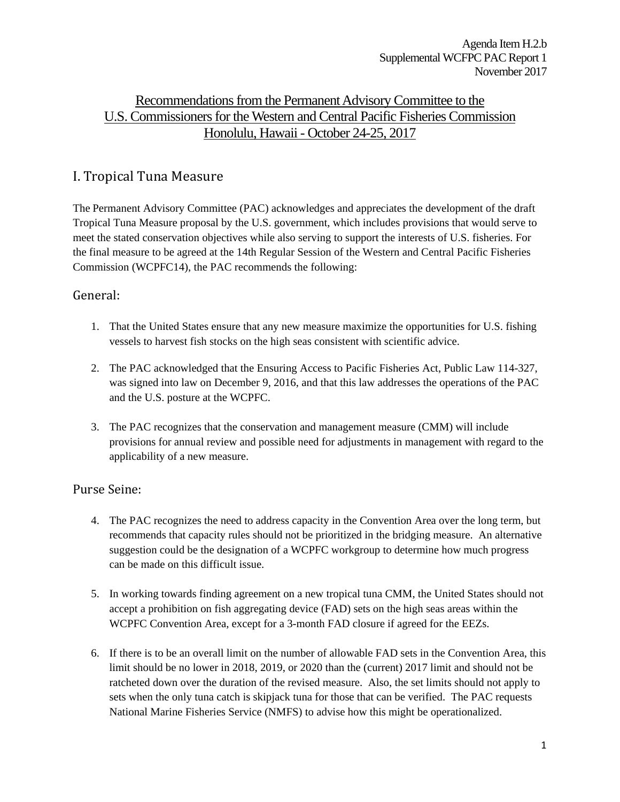Agenda Item H.2.b Supplemental WCFPC PAC Report 1 November 2017

# Recommendations from the Permanent Advisory Committee to the U.S. Commissioners for the Western and Central Pacific Fisheries Commission Honolulu, Hawaii - October 24-25, 2017

### I. Tropical Tuna Measure

The Permanent Advisory Committee (PAC) acknowledges and appreciates the development of the draft Tropical Tuna Measure proposal by the U.S. government, which includes provisions that would serve to meet the stated conservation objectives while also serving to support the interests of U.S. fisheries. For the final measure to be agreed at the 14th Regular Session of the Western and Central Pacific Fisheries Commission (WCPFC14), the PAC recommends the following:

#### General:

- 1. That the United States ensure that any new measure maximize the opportunities for U.S. fishing vessels to harvest fish stocks on the high seas consistent with scientific advice.
- 2. The PAC acknowledged that the Ensuring Access to Pacific Fisheries Act, Public Law 114-327, was signed into law on December 9, 2016, and that this law addresses the operations of the PAC and the U.S. posture at the WCPFC.
- 3. The PAC recognizes that the conservation and management measure (CMM) will include provisions for annual review and possible need for adjustments in management with regard to the applicability of a new measure.

#### Purse Seine:

- 4. The PAC recognizes the need to address capacity in the Convention Area over the long term, but recommends that capacity rules should not be prioritized in the bridging measure. An alternative suggestion could be the designation of a WCPFC workgroup to determine how much progress can be made on this difficult issue.
- 5. In working towards finding agreement on a new tropical tuna CMM, the United States should not accept a prohibition on fish aggregating device (FAD) sets on the high seas areas within the WCPFC Convention Area, except for a 3-month FAD closure if agreed for the EEZs.
- 6. If there is to be an overall limit on the number of allowable FAD sets in the Convention Area, this limit should be no lower in 2018, 2019, or 2020 than the (current) 2017 limit and should not be ratcheted down over the duration of the revised measure. Also, the set limits should not apply to sets when the only tuna catch is skipjack tuna for those that can be verified. The PAC requests National Marine Fisheries Service (NMFS) to advise how this might be operationalized.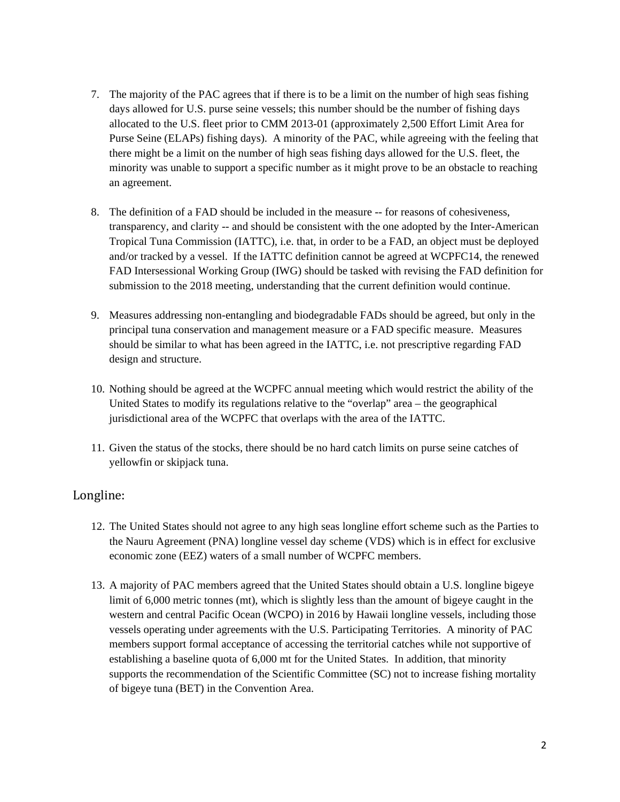- 7. The majority of the PAC agrees that if there is to be a limit on the number of high seas fishing days allowed for U.S. purse seine vessels; this number should be the number of fishing days allocated to the U.S. fleet prior to CMM 2013-01 (approximately 2,500 Effort Limit Area for Purse Seine (ELAPs) fishing days). A minority of the PAC, while agreeing with the feeling that there might be a limit on the number of high seas fishing days allowed for the U.S. fleet, the minority was unable to support a specific number as it might prove to be an obstacle to reaching an agreement.
- 8. The definition of a FAD should be included in the measure -- for reasons of cohesiveness, transparency, and clarity -- and should be consistent with the one adopted by the Inter-American Tropical Tuna Commission (IATTC), i.e. that, in order to be a FAD, an object must be deployed and/or tracked by a vessel. If the IATTC definition cannot be agreed at WCPFC14, the renewed FAD Intersessional Working Group (IWG) should be tasked with revising the FAD definition for submission to the 2018 meeting, understanding that the current definition would continue.
- 9. Measures addressing non-entangling and biodegradable FADs should be agreed, but only in the principal tuna conservation and management measure or a FAD specific measure. Measures should be similar to what has been agreed in the IATTC, i.e. not prescriptive regarding FAD design and structure.
- 10. Nothing should be agreed at the WCPFC annual meeting which would restrict the ability of the United States to modify its regulations relative to the "overlap" area – the geographical jurisdictional area of the WCPFC that overlaps with the area of the IATTC.
- 11. Given the status of the stocks, there should be no hard catch limits on purse seine catches of yellowfin or skipjack tuna.

#### Longline:

- 12. The United States should not agree to any high seas longline effort scheme such as the Parties to the Nauru Agreement (PNA) longline vessel day scheme (VDS) which is in effect for exclusive economic zone (EEZ) waters of a small number of WCPFC members.
- 13. A majority of PAC members agreed that the United States should obtain a U.S. longline bigeye limit of 6,000 metric tonnes (mt), which is slightly less than the amount of bigeye caught in the western and central Pacific Ocean (WCPO) in 2016 by Hawaii longline vessels, including those vessels operating under agreements with the U.S. Participating Territories. A minority of PAC members support formal acceptance of accessing the territorial catches while not supportive of establishing a baseline quota of 6,000 mt for the United States. In addition, that minority supports the recommendation of the Scientific Committee (SC) not to increase fishing mortality of bigeye tuna (BET) in the Convention Area.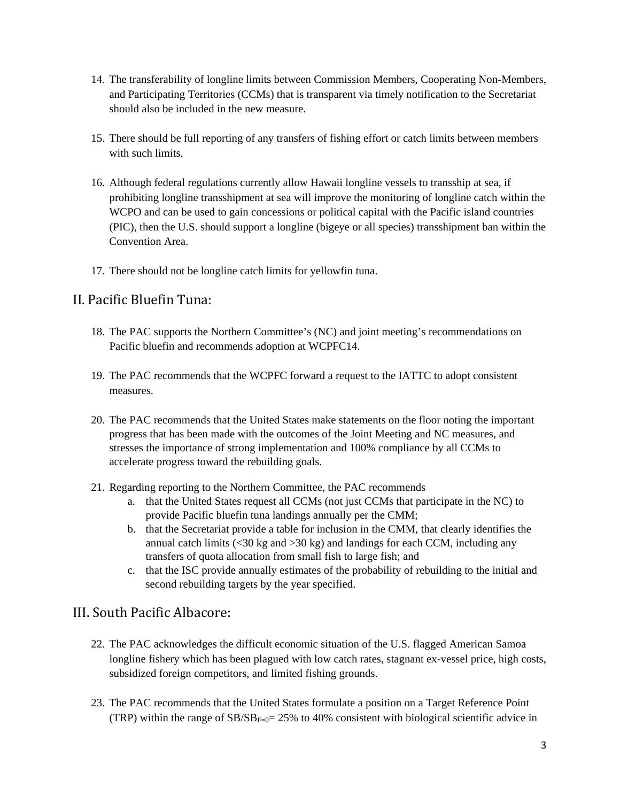- 14. The transferability of longline limits between Commission Members, Cooperating Non-Members, and Participating Territories (CCMs) that is transparent via timely notification to the Secretariat should also be included in the new measure.
- 15. There should be full reporting of any transfers of fishing effort or catch limits between members with such limits.
- 16. Although federal regulations currently allow Hawaii longline vessels to transship at sea, if prohibiting longline transshipment at sea will improve the monitoring of longline catch within the WCPO and can be used to gain concessions or political capital with the Pacific island countries (PIC), then the U.S. should support a longline (bigeye or all species) transshipment ban within the Convention Area.
- 17. There should not be longline catch limits for yellowfin tuna.

### II. Pacific Bluefin Tuna:

- 18. The PAC supports the Northern Committee's (NC) and joint meeting's recommendations on Pacific bluefin and recommends adoption at WCPFC14.
- 19. The PAC recommends that the WCPFC forward a request to the IATTC to adopt consistent measures.
- 20. The PAC recommends that the United States make statements on the floor noting the important progress that has been made with the outcomes of the Joint Meeting and NC measures, and stresses the importance of strong implementation and 100% compliance by all CCMs to accelerate progress toward the rebuilding goals.
- 21. Regarding reporting to the Northern Committee, the PAC recommends
	- a. that the United States request all CCMs (not just CCMs that participate in the NC) to provide Pacific bluefin tuna landings annually per the CMM;
	- b. that the Secretariat provide a table for inclusion in the CMM, that clearly identifies the annual catch limits ( $\langle 30 \text{ kg} \rangle$  and  $>30 \text{ kg}$ ) and landings for each CCM, including any transfers of quota allocation from small fish to large fish; and
	- c. that the ISC provide annually estimates of the probability of rebuilding to the initial and second rebuilding targets by the year specified.

### III. South Pacific Albacore:

- 22. The PAC acknowledges the difficult economic situation of the U.S. flagged American Samoa longline fishery which has been plagued with low catch rates, stagnant ex-vessel price, high costs, subsidized foreign competitors, and limited fishing grounds.
- 23. The PAC recommends that the United States formulate a position on a Target Reference Point (TRP) within the range of  $SB/SB_{F=0}$  = 25% to 40% consistent with biological scientific advice in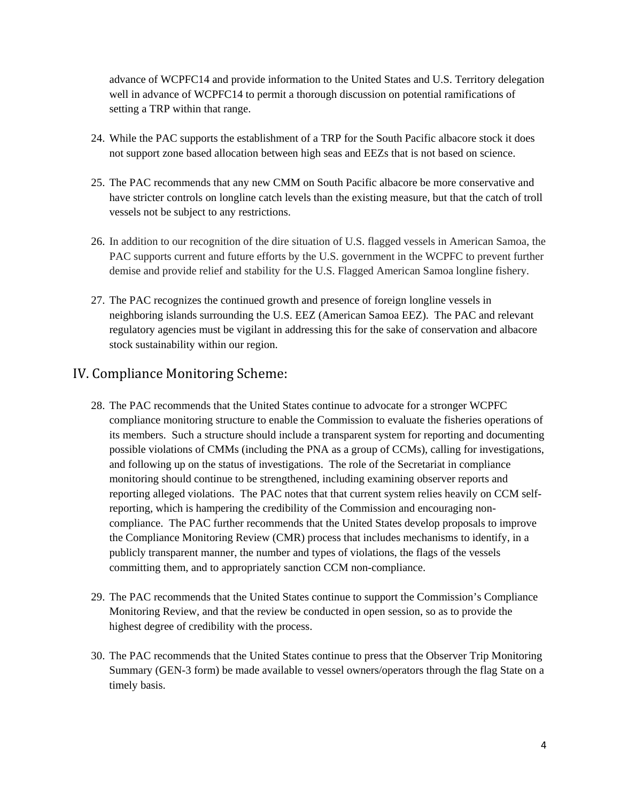advance of WCPFC14 and provide information to the United States and U.S. Territory delegation well in advance of WCPFC14 to permit a thorough discussion on potential ramifications of setting a TRP within that range.

- 24. While the PAC supports the establishment of a TRP for the South Pacific albacore stock it does not support zone based allocation between high seas and EEZs that is not based on science.
- 25. The PAC recommends that any new CMM on South Pacific albacore be more conservative and have stricter controls on longline catch levels than the existing measure, but that the catch of troll vessels not be subject to any restrictions.
- 26. In addition to our recognition of the dire situation of U.S. flagged vessels in American Samoa, the PAC supports current and future efforts by the U.S. government in the WCPFC to prevent further demise and provide relief and stability for the U.S. Flagged American Samoa longline fishery.
- 27. The PAC recognizes the continued growth and presence of foreign longline vessels in neighboring islands surrounding the U.S. EEZ (American Samoa EEZ). The PAC and relevant regulatory agencies must be vigilant in addressing this for the sake of conservation and albacore stock sustainability within our region.

### IV. Compliance Monitoring Scheme:

- 28. The PAC recommends that the United States continue to advocate for a stronger WCPFC compliance monitoring structure to enable the Commission to evaluate the fisheries operations of its members. Such a structure should include a transparent system for reporting and documenting possible violations of CMMs (including the PNA as a group of CCMs), calling for investigations, and following up on the status of investigations. The role of the Secretariat in compliance monitoring should continue to be strengthened, including examining observer reports and reporting alleged violations. The PAC notes that that current system relies heavily on CCM selfreporting, which is hampering the credibility of the Commission and encouraging noncompliance. The PAC further recommends that the United States develop proposals to improve the Compliance Monitoring Review (CMR) process that includes mechanisms to identify, in a publicly transparent manner, the number and types of violations, the flags of the vessels committing them, and to appropriately sanction CCM non-compliance.
- 29. The PAC recommends that the United States continue to support the Commission's Compliance Monitoring Review, and that the review be conducted in open session, so as to provide the highest degree of credibility with the process.
- 30. The PAC recommends that the United States continue to press that the Observer Trip Monitoring Summary (GEN-3 form) be made available to vessel owners/operators through the flag State on a timely basis.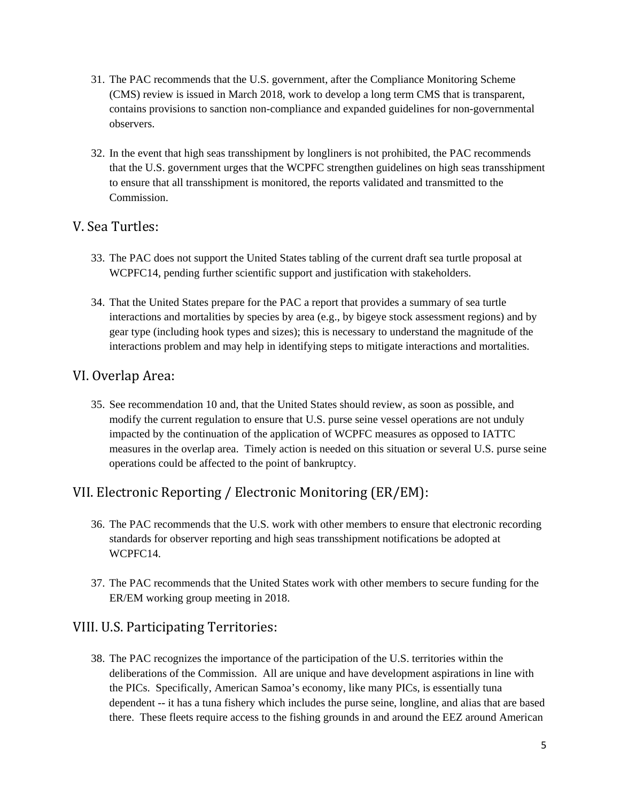- 31. The PAC recommends that the U.S. government, after the Compliance Monitoring Scheme (CMS) review is issued in March 2018, work to develop a long term CMS that is transparent, contains provisions to sanction non-compliance and expanded guidelines for non-governmental observers.
- 32. In the event that high seas transshipment by longliners is not prohibited, the PAC recommends that the U.S. government urges that the WCPFC strengthen guidelines on high seas transshipment to ensure that all transshipment is monitored, the reports validated and transmitted to the Commission.

### V. Sea Turtles:

- 33. The PAC does not support the United States tabling of the current draft sea turtle proposal at WCPFC14, pending further scientific support and justification with stakeholders.
- 34. That the United States prepare for the PAC a report that provides a summary of sea turtle interactions and mortalities by species by area (e.g., by bigeye stock assessment regions) and by gear type (including hook types and sizes); this is necessary to understand the magnitude of the interactions problem and may help in identifying steps to mitigate interactions and mortalities.

# VI. Overlap Area:

35. See recommendation 10 and, that the United States should review, as soon as possible, and modify the current regulation to ensure that U.S. purse seine vessel operations are not unduly impacted by the continuation of the application of WCPFC measures as opposed to IATTC measures in the overlap area. Timely action is needed on this situation or several U.S. purse seine operations could be affected to the point of bankruptcy.

# VII. Electronic Reporting / Electronic Monitoring (ER/EM):

- 36. The PAC recommends that the U.S. work with other members to ensure that electronic recording standards for observer reporting and high seas transshipment notifications be adopted at WCPFC14.
- 37. The PAC recommends that the United States work with other members to secure funding for the ER/EM working group meeting in 2018.

# VIII. U.S. Participating Territories:

38. The PAC recognizes the importance of the participation of the U.S. territories within the deliberations of the Commission. All are unique and have development aspirations in line with the PICs. Specifically, American Samoa's economy, like many PICs, is essentially tuna dependent -- it has a tuna fishery which includes the purse seine, longline, and alias that are based there. These fleets require access to the fishing grounds in and around the EEZ around American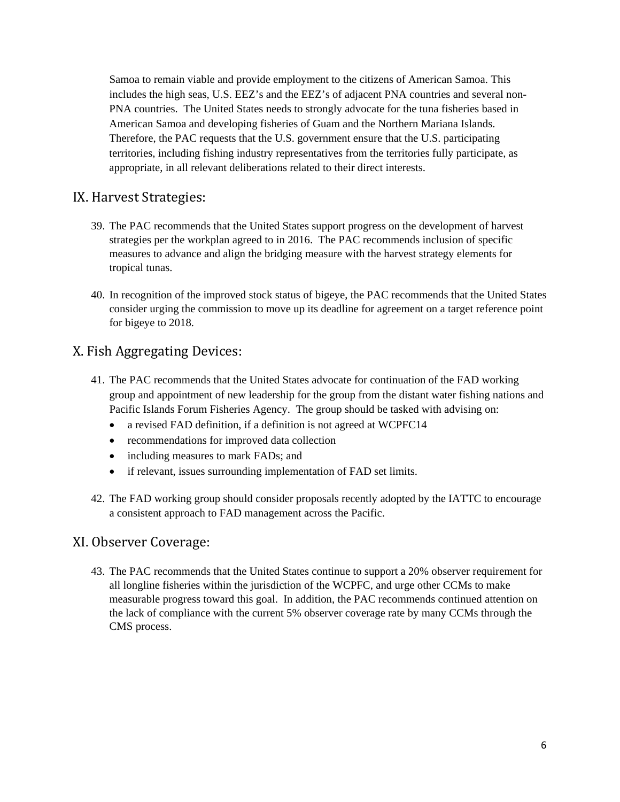Samoa to remain viable and provide employment to the citizens of American Samoa. This includes the high seas, U.S. EEZ's and the EEZ's of adjacent PNA countries and several non-PNA countries. The United States needs to strongly advocate for the tuna fisheries based in American Samoa and developing fisheries of Guam and the Northern Mariana Islands. Therefore, the PAC requests that the U.S. government ensure that the U.S. participating territories, including fishing industry representatives from the territories fully participate, as appropriate, in all relevant deliberations related to their direct interests.

# IX. Harvest Strategies:

- 39. The PAC recommends that the United States support progress on the development of harvest strategies per the workplan agreed to in 2016. The PAC recommends inclusion of specific measures to advance and align the bridging measure with the harvest strategy elements for tropical tunas.
- 40. In recognition of the improved stock status of bigeye, the PAC recommends that the United States consider urging the commission to move up its deadline for agreement on a target reference point for bigeye to 2018.

# X. Fish Aggregating Devices:

- 41. The PAC recommends that the United States advocate for continuation of the FAD working group and appointment of new leadership for the group from the distant water fishing nations and Pacific Islands Forum Fisheries Agency. The group should be tasked with advising on:
	- a revised FAD definition, if a definition is not agreed at WCPFC14
	- recommendations for improved data collection
	- including measures to mark FADs; and
	- if relevant, issues surrounding implementation of FAD set limits.
- 42. The FAD working group should consider proposals recently adopted by the IATTC to encourage a consistent approach to FAD management across the Pacific.

### XI. Observer Coverage:

43. The PAC recommends that the United States continue to support a 20% observer requirement for all longline fisheries within the jurisdiction of the WCPFC, and urge other CCMs to make measurable progress toward this goal. In addition, the PAC recommends continued attention on the lack of compliance with the current 5% observer coverage rate by many CCMs through the CMS process.